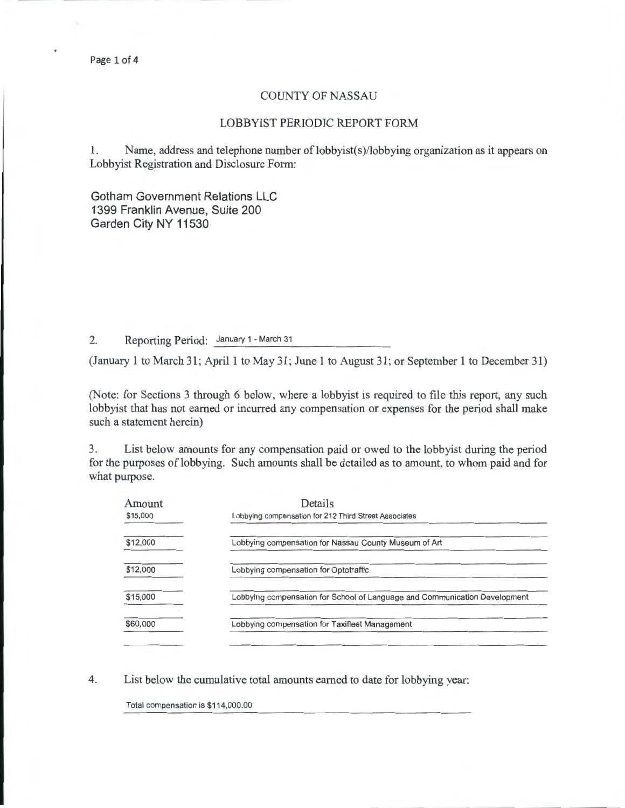## COUNTY OF NASSAU

## LOBBYIST PERIODIC REPORT FORM

1. Name, address and telephone number of lobbyist(s)/lobbying organization as it appears on Lobbyist Registration and Disclosure Form:

Gotham Government Relations LLC 1399 Franklin Avenue, Suite 200 Garden City NY 11530

2. Reporting Period: January 1 - March 31

(January 1 to March 31; April 1 to May 31; June 1 to August 31; or September 1 to December 31)

(Note: for Sections 3 through 6 below, where a lobbyist is required to file this report, any such lobbyist that has not earned or incurred any compensation or expenses for the period shall make such a statement herein)

3. List below amounts for any compensation paid or owed to the lobbyist during the period for the purposes of lobbying. Such amounts shall be detailed as to amount, to whom paid and for what purpose.

| Amount<br>\$15,000 | Details<br>Lobbying compensation for 212 Third Street Associates           |  |  |  |
|--------------------|----------------------------------------------------------------------------|--|--|--|
| \$12,000           | Lobbying compensation for Nassau County Museum of Art                      |  |  |  |
| \$12,000           | Lobbying compensation for Optotraffic                                      |  |  |  |
| \$15,000           | Lobbying compensation for School of Language and Communication Development |  |  |  |
| \$60,000           | Lobbying compensation for Taxifleet Management                             |  |  |  |
|                    |                                                                            |  |  |  |

4. List below the cumulative total amounts earned to date for lobbying year:

Total compensation is \$114,000.00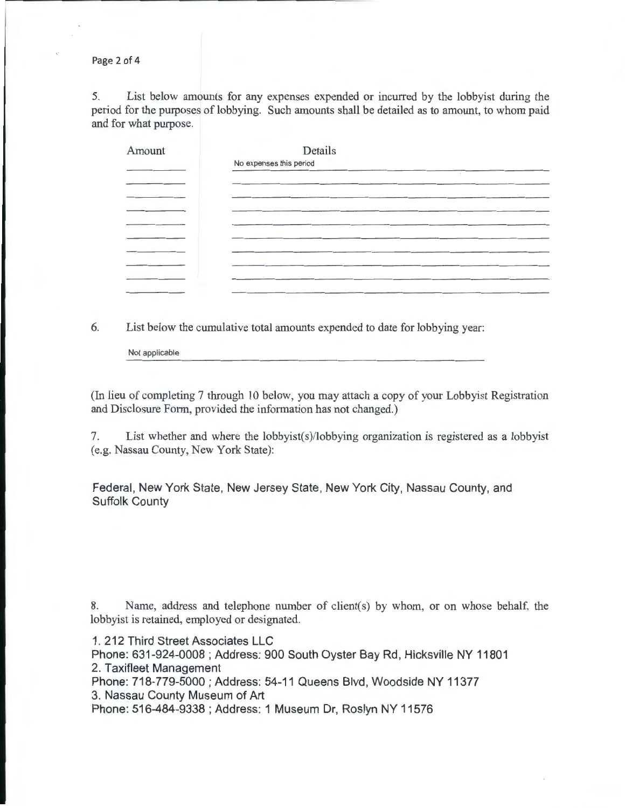Page 2 of 4

5. List below amounts for any expenses expended or incurred by the lobbyist during the period for the purposes of lobbying. Such amounts shall be detailed as to amount, to whom paid and for what purpose.

| Amount                            | Details<br>No expenses this period |
|-----------------------------------|------------------------------------|
|                                   |                                    |
|                                   |                                    |
| the company's company's company's |                                    |
|                                   |                                    |
|                                   |                                    |

6. List below the cumulative total amounts expended to date for lobbying year:

Not applicable

(In lieu of completing 7 through 10 below, you may attach a copy of your Lobbyist Registration and Disclosure Form, provided the information has not changed.)

7. List whether and where the lobbyist(s)/lobbying organization is registered as a lobbyist (e.g. Nassau County, New York State):

Federal, New York State, New Jersey State, New York City, Nassau County, and Suffolk County

8. Name, address and telephone number of client(s) by whom, or on whose behalf, the lobbyist is retained, employed or designated.

1. 212 Third Street Associates LLC Phone: 631-924-0008; Address: 900 South Oyster Bay Rd, Hicksville NY 11801 2. Taxifleet Management Phone: 718-779-5000 ; Address: 54-11 Queens Blvd, Woodside NY 11377 3. Nassau County Museum of Art Phone: 516-484-9338 ; Address: 1 Museum Dr, Roslyn NY 11576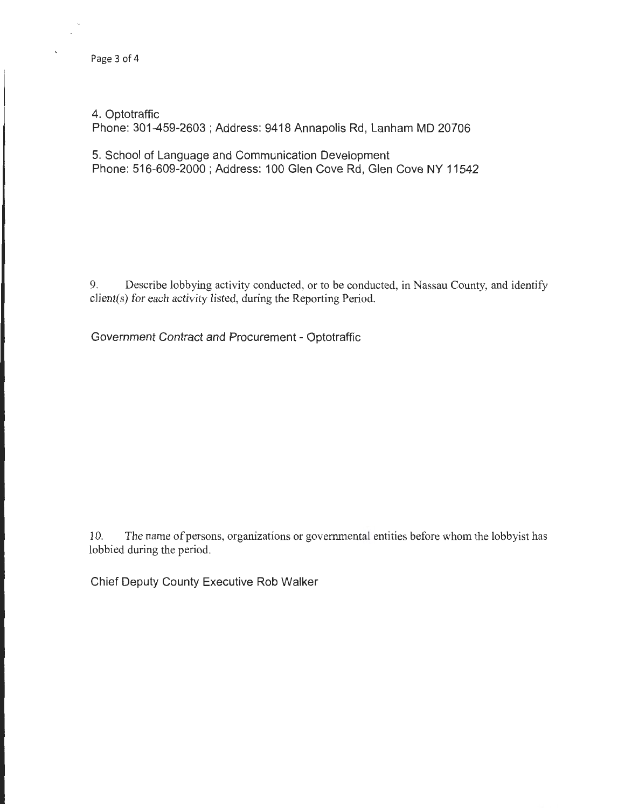## 4. Optotraffic

Phone: 301-459-2603 ; Address: 9418 Annapolis Rd, Lanham MD 20706

5. School of Language and Communication Development Phone: 516-609-2000 ; Address: 100 Glen Cove Rd, Glen Cove NY 11542

9. Describe lobbying activity conducted, or to be conducted, in Nassau County, and identify client(s) for each activity listed, during the Reporting Period.

Government Contract and Procurement- Optotraffic

10. The name of persons, organizations or governmental entities before whom the lobbyist has lobbied during the period.

Chief Deputy County Executive Rob Walker